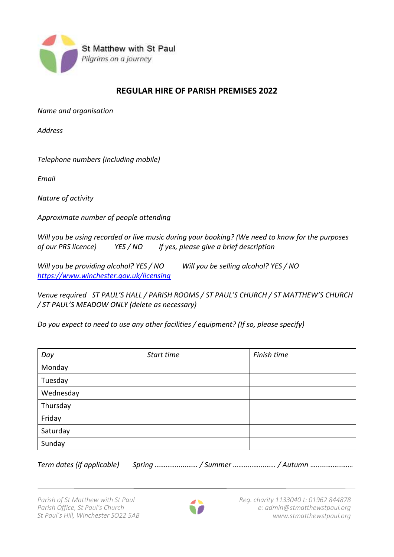

## **REGULAR HIRE OF PARISH PREMISES 2022**

*Name and organisation*

*Address* 

*Telephone numbers (including mobile)*

*Email*

*Nature of activity*

*Approximate number of people attending*

*Will you be using recorded or live music during your booking? (We need to know for the purposes of our PRS licence) YES / NO If yes, please give a brief description*

*Will you be providing alcohol? YES / NO Will you be selling alcohol? YES / NO <https://www.winchester.gov.uk/licensing>*

*Venue required ST PAUL'S HALL / PARISH ROOMS / ST PAUL'S CHURCH / ST MATTHEW'S CHURCH / ST PAUL'S MEADOW ONLY (delete as necessary)*

*Do you expect to need to use any other facilities / equipment? (If so, please specify)* 

| Day       | Start time | Finish time |
|-----------|------------|-------------|
| Monday    |            |             |
| Tuesday   |            |             |
| Wednesday |            |             |
| Thursday  |            |             |
| Friday    |            |             |
| Saturday  |            |             |
| Sunday    |            |             |

*Term dates (if applicable) Spring ………….....…… / Summer ……..……...…… / Autumn* ……...……..……

*Parish of St Matthew with St Paul Parish Office, St Paul's Church St Paul's Hill, Winchester SO22 5AB*